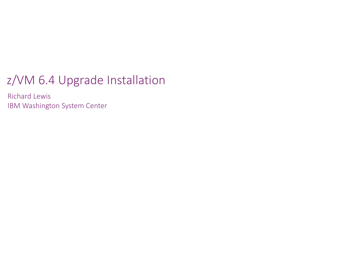#### z/VM 6.4 Upgrade Installation

Richard Lewis IBM Washington System Center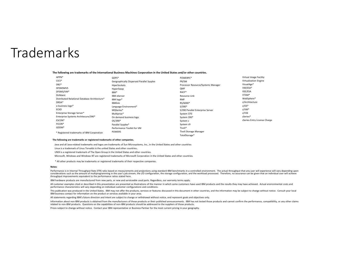#### Trademarks

#### **The following are trademarks of the International Business Machines Corporation in the United States and/or other countries.**

| APPN*                                         | GDPS*                                     | POWERPC*                           | Virtual Image Facility       |
|-----------------------------------------------|-------------------------------------------|------------------------------------|------------------------------|
| $CICS*$                                       | Geographically Dispersed Parallel Sysplex | PR/SM                              | Virtualization Engine        |
| $DB2*$                                        | HiperSockets                              | Processor Resource/Systems Manager | VisualAge*                   |
| <b>DFSMSMVS</b>                               | HyperSwap                                 | <b>OMF</b>                         | VM/ESA*                      |
| DFSMS/VM*                                     | IBM*                                      | RACF*                              | VSE/ESA                      |
| <b>DirMaint</b>                               | <b>IBM</b> eServer                        | Resource Link                      | VTAM*                        |
| Distributed Relational Database Architecture* | IBM logo*                                 | <b>RMF</b>                         | WebSphere*                   |
| DRDA*                                         | <b>IBMlink</b>                            | RS/6000*                           | z/Architecture               |
| e-business logo*                              | Language Environment*                     | $S/390*$                           | $z/OS^*$                     |
| <b>ECKD</b>                                   | MQSeries*                                 | S/390 Parallel Enterprise Server   | $z/VM^*$                     |
| Enterprise Storage Server*                    | Multiprise*                               | System 370                         | z/VSE                        |
| Enterprise Systems Architecure/390*           | On demand business logo                   | System 390*                        | zSeries*                     |
| ESCON*                                        | OS/390*                                   | System z                           | zSeries Entry License Charge |
| FICON*                                        | Parallel Sysplex*                         | System z9                          |                              |
| GDDM*                                         | Performance Toolkit for VM                | Tivoli*                            |                              |
| * Registered trademarks of IBM Corporation    | POWER5                                    | Tivoli Storage Manager             |                              |
|                                               |                                           | TotalStorage*                      |                              |

#### **The following are trademarks or registered trademarks of other companies.**

Java and all Java-related trademarks and logos are trademarks of Sun Microsystems, Inc., in the United States and other countries

Linux is a trademark of Linus Torvalds in the united States and other countries..

UNIX is a registered trademark of The Open Group in the United States and other countries.

Microsoft, Windows and Windows NT are registered trademarks of Microsoft Corporation in the United States and other countries.

\* All other products may be trademarks or registered trademarks of their respective companies.

#### **Notes**:

Performance is in Internal Throughput Rate (ITR) ratio based on measurements and projections using standard IBM benchmarks in a controlled environment. The actual throughput that any user will experience will vary dependin considerations such as the amount of multiprogramming in the user's job stream, the I/O configuration, the storage configuration, and the workload processed. Therefore, no assurance can be given that an individual user wil

IBM hardware products are manufactured from new parts, or new and serviceable used parts. Regardless, our warranty terms apply.

All customer examples cited or described in this presentation are presented as illustrations of the manner in which some customers have used IBM products and the results they may have achieved. Actual environmental costs a performance characteristics will vary depending on individual customer configurations and conditions.

This publication was produced in the United States. IBM may not offer the products, services or features discussed in this document in other countries, and the information may be subject to change without notice. Consult y IBM business contact for information on the product or services available in your area.

All statements regarding IBM's future direction and intent are subject to change or withdrawal without notice, and represent goals and objectives only.

Information about non-IBM products is obtained from the manufacturers of those products or their published announcements. IBM has not tested those products and cannot confirm the performance, compatibility, or any other cl related to non-IBM products. Questions on the capabilities of non-IBM products should be addressed to the suppliers of those products.

Prices subject to change without notice. Contact your IBM representative or Business Partner for the most current pricing in your geography.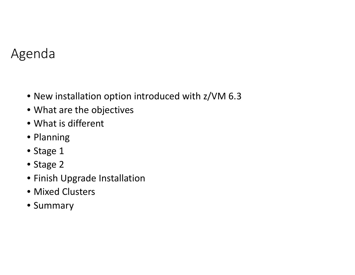#### Agenda

- New installation option introduced with z/VM 6.3
- What are the objectives
- What is different
- Planning
- Stage 1
- Stage 2
- Finish Upgrade Installation
- Mixed Clusters
- Summary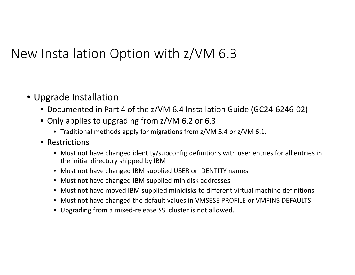#### New Installation Option with z/VM 6.3

- Upgrade Installation
	- Documented in Part 4 of the z/VM 6.4 Installation Guide (GC24-6246-02)
	- Only applies to upgrading from z/VM 6.2 or 6.3
		- Traditional methods apply for migrations from z/VM 5.4 or z/VM 6.1.
	- Restrictions
		- Must not have changed identity/subconfig definitions with user entries for all entries in the initial directory shipped by IBM
		- Must not have changed IBM supplied USER or IDENTITY names
		- Must not have changed IBM supplied minidisk addresses
		- Must not have moved IBM supplied minidisks to different virtual machine definitions
		- Must not have changed the default values in VMSESE PROFILE or VMFINS DEFAULTS
		- Upgrading from a mixed-release SSI cluster is not allowed.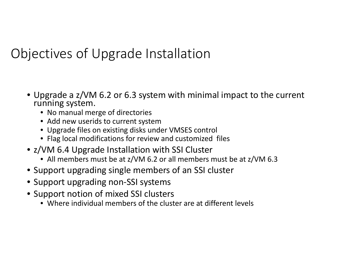#### Objectives of Upgrade Installation

- Upgrade a z/VM 6.2 or 6.3 system with minimal impact to the current running system.
	- No manual merge of directories
	- Add new userids to current system
	- Upgrade files on existing disks under VMSES control
	- Flag local modifications for review and customized files
- z/VM 6.4 Upgrade Installation with SSI Cluster
	- All members must be at z/VM 6.2 or all members must be at z/VM 6.3
- Support upgrading single members of an SSI cluster
- Support upgrading non-SSI systems
- Support notion of mixed SSI clusters
	- Where individual members of the cluster are at different levels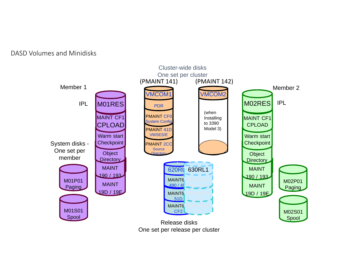DASD Volumes and Minidisks

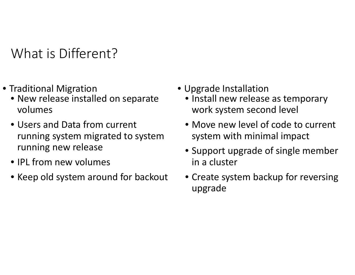What is Different?

- Traditional Migration Upgrade Installation
	- New release installed on separate volumes
	- Users and Data from current running system migrated to system running new release
	- IPL from new volumes
	- Keep old system around for backout
- - Install new release as temporary work system second level
	- Move new level of code to current system with minimal impact
	- Support upgrade of single member in a cluster
	- Create system backup for reversing upgrade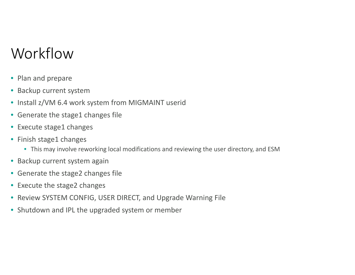# Workflow

- Plan and prepare
- Backup current system
- Install z/VM 6.4 work system from MIGMAINT userid
- Generate the stage1 changes file
- Execute stage1 changes
- Finish stage1 changes
	- This may involve reworking local modifications and reviewing the user directory, and ESM
- Backup current system again
- Generate the stage2 changes file
- Execute the stage2 changes
- Review SYSTEM CONFIG, USER DIRECT, and Upgrade Warning File
- Shutdown and IPL the upgraded system or member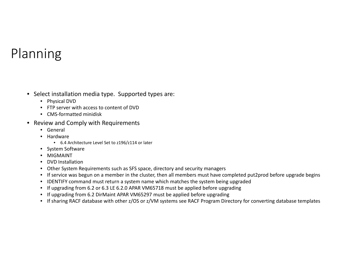# Planning

- Select installation media type. Supported types are:
	- Physical DVD
	- FTP server with access to content of DVD
	- CMS-formatted minidisk
- Review and Comply with Requirements
	- General
	- Hardware
		- 6.4 Architecture Level Set to z196/z114 or later
	- System Software
	- MIGMAINT
	- DVD Installation
	- Other System Requirements such as SFS space, directory and security managers
	- If service was begun on a member in the cluster, then all members must have completed put2prod before upgrade begins
	- IDENTIFY command must return a system name which matches the system being upgraded
	- If upgrading from 6.2 or 6.3 LE 6.2.0 APAR VM65718 must be applied before upgrading
	- If upgrading from 6.2 DirMaint APAR VM65297 must be applied before upgrading
	- If sharing RACF database with other z/OS or z/VM systems see RACF Program Directory for converting database templates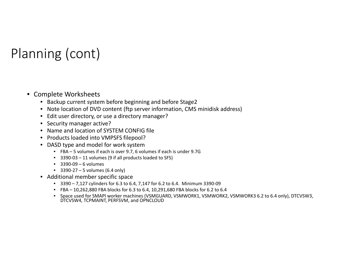# Planning (cont)

#### • Complete Worksheets

- Backup current system before beginning and before Stage2
- Note location of DVD content (ftp server information, CMS minidisk address)
- Edit user directory, or use a directory manager?
- Security manager active?
- Name and location of SYSTEM CONFIG file
- Products loaded into VMPSFS filepool?
- DASD type and model for work system
	- FBA 5 volumes if each is over 9.7, 6 volumes if each is under 9.7G
	- 3390-03 11 volumes (9 if all products loaded to SFS)
	- 3390-09 6 volumes
	- 3390-27 5 volumes (6.4 only)
- Additional member specific space
	- 3390 7,127 cylinders for 6.3 to 6.4, 7,147 for 6.2 to 6.4. Minimum 3390-09
	- FBA 10,262,880 FBA blocks for 6.3 to 6.4, 10,291,680 FBA blocks for 6.2 to 6.4
	- Space used for SMAPI worker machines (VSMGUARD, VSMWORK1, VSMWORK2, VSMWORK3 6.2 to 6.4 only), DTCVSW3,<br>DTCVSW4, TCPMAINT, PERFSVM, and OPNCLOUD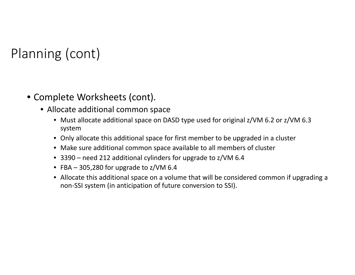# Planning (cont)

- Complete Worksheets (cont).
	- Allocate additional common space
		- Must allocate additional space on DASD type used for original z/VM 6.2 or z/VM 6.3 system
		- Only allocate this additional space for first member to be upgraded in a cluster
		- Make sure additional common space available to all members of cluster
		- 3390 need 212 additional cylinders for upgrade to z/VM 6.4
		- FBA 305,280 for upgrade to z/VM 6.4
		- Allocate this additional space on a volume that will be considered common if upgrading a non-SSI system (in anticipation of future conversion to SSI).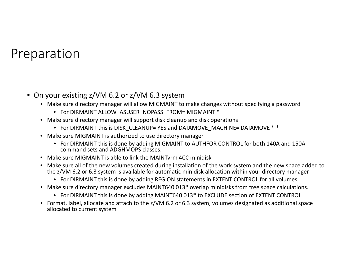#### Preparation

- On your existing z/VM 6.2 or z/VM 6.3 system
	- Make sure directory manager will allow MIGMAINT to make changes without specifying a password
		- For DIRMAINT ALLOW\_ASUSER\_NOPASS\_FROM= MIGMAINT \*
	- Make sure directory manager will support disk cleanup and disk operations
		- For DIRMAINT this is DISK\_CLEANUP= YES and DATAMOVE\_MACHINE= DATAMOVE \* \*
	- Make sure MIGMAINT is authorized to use directory manager
		- For DIRMAINT this is done by adding MIGMAINT to AUTHFOR CONTROL for both 140A and 150A command sets and ADGHMOPS classes.
	- Make sure MIGMAINT is able to link the MAINTvrm 4CC minidisk
	- Make sure all of the new volumes created during installation of the work system and the new space added to the z/VM 6.2 or 6.3 system is available for automatic minidisk allocation within your directory manager
		- For DIRMAINT this is done by adding REGION statements in EXTENT CONTROL for all volumes
	- Make sure directory manager excludes MAINT640 013\* overlap minidisks from free space calculations.
		- For DIRMAINT this is done by adding MAINT640 013\* to EXCLUDE section of EXTENT CONTROL
	- Format, label, allocate and attach to the z/VM 6.2 or 6.3 system, volumes designated as additional space allocated to current system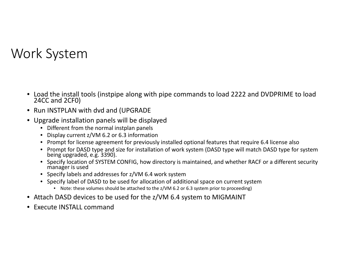#### Work System

- Load the install tools (instpipe along with pipe commands to load 2222 and DVDPRIME to load 24CC and 2CF0)
- $\bullet$ Run INSTPLAN with dvd and (UPGRADE
- Upgrade installation panels will be displayed
	- Different from the normal instplan panels
	- Display current z/VM 6.2 or 6.3 information
	- Prompt for license agreement for previously installed optional features that require 6.4 license also
	- Prompt for DASD type and size for installation of work system (DASD type will match DASD type for system being upgraded, e.g. 3390).
	- Specify location of SYSTEM CONFIG, how directory is maintained, and whether RACF or a different security manager is used
	- Specify labels and addresses for z/VM 6.4 work system
	- Specify label of DASD to be used for allocation of additional space on current system
		- Note: these volumes should be attached to the z/VM 6.2 or 6.3 system prior to proceeding)
- Attach DASD devices to be used for the z/VM 6.4 system to MIGMAINT
- •Execute INSTALL command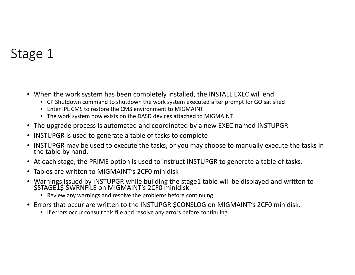#### Stage 1

- When the work system has been completely installed, the INSTALL EXEC will end
	- CP Shutdown command to shutdown the work system executed after prompt for GO satisfied
	- Enter IPL CMS to restore the CMS environment to MIGMAINT
	- The work system now exists on the DASD devices attached to MIGMAINT
- The upgrade process is automated and coordinated by a new EXEC named INSTUPGR
- INSTUPGR is used to generate a table of tasks to complete
- INSTUPGR may be used to execute the tasks, or you may choose to manually execute the tasks in the table by hand.
- At each stage, the PRIME option is used to instruct INSTUPGR to generate a table of tasks.
- Tables are written to MIGMAINT's 2CF0 minidisk
- Warnings issued by INSTUPGR while building the stage1 table will be displayed and written to<br>\$STAGE1\$ \$WRNFILE on MIGMAINT's 2CF0 minidisk
	- Review any warnings and resolve the problems before continuing
- Errors that occur are written to the INSTUPGR \$CONSLOG on MIGMAINT's 2CF0 minidisk.
	- If errors occur consult this file and resolve any errors before continuing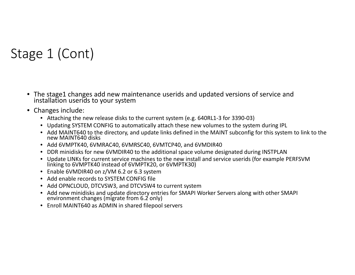# Stage 1 (Cont)

- The stage1 changes add new maintenance userids and updated versions of service and installation userids to your system
- Changes include:
	- Attaching the new release disks to the current system (e.g. 640RL1-3 for 3390-03)
	- Updating SYSTEM CONFIG to automatically attach these new volumes to the system during IPL
	- Add MAINT640 to the directory, and update links defined in the MAINT subconfig for this system to link to the<br>new MAINT640 disks
	- Add 6VMPTK40, 6VMRAC40, 6VMRSC40, 6VMTCP40, and 6VMDIR40
	- DDR minidisks for new 6VMDIR40 to the additional space volume designated during INSTPLAN
	- Update LINKs for current service machines to the new install and service userids (for example PERFSVM linking to 6VMPTK40 instead of 6VMPTK20, or 6VMPTK30)
	- Enable 6VMDIR40 on z/VM 6.2 or 6.3 system
	- Add enable records to SYSTEM CONFIG file
	- Add OPNCLOUD, DTCVSW3, and DTCVSW4 to current system
	- Add new minidisks and update directory entries for SMAPI Worker Servers along with other SMAPI environment changes (migrate from 6.2 only)
	- Enroll MAINT640 as ADMIN in shared filepool servers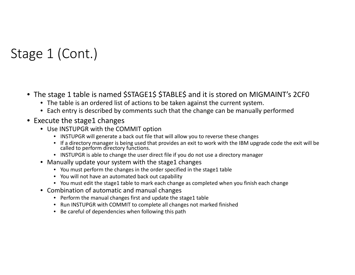# Stage 1 (Cont.)

- The stage 1 table is named \$STAGE1\$ \$TABLE\$ and it is stored on MIGMAINT's 2CF0
	- The table is an ordered list of actions to be taken against the current system.
	- Each entry is described by comments such that the change can be manually performed
- Execute the stage1 changes
	- Use INSTUPGR with the COMMIT option
		- INSTUPGR will generate a back out file that will allow you to reverse these changes
		- If a directory manager is being used that provides an exit to work with the IBM upgrade code the exit will be called to perform directory functions.
		- INSTUPGR is able to change the user direct file if you do not use a directory manager
	- Manually update your system with the stage1 changes
		- You must perform the changes in the order specified in the stage1 table
		- You will not have an automated back out capability
		- You must edit the stage1 table to mark each change as completed when you finish each change
	- Combination of automatic and manual changes
		- Perform the manual changes first and update the stage1 table
		- Run INSTUPGR with COMMIT to complete all changes not marked finished
		- Be careful of dependencies when following this path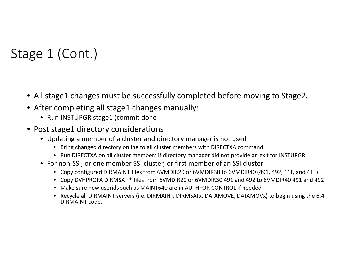# Stage 1 (Cont.)

- All stage1 changes must be successfully completed before moving to Stage2.
- After completing all stage1 changes manually:
	- Run INSTUPGR stage1 (commit done
- Post stage1 directory considerations
	- Updating a member of a cluster and directory manager is not used
		- Bring changed directory online to all cluster members with DIRECTXA command
		- Run DIRECTXA on all cluster members if directory manager did not provide an exit for INSTUPGR
	- For non-SSI, or one member SSI cluster, or first member of an SSI cluster
		- Copy configured DIRMAINT files from 6VMDIR20 or 6VMDIR30 to 6VMDIR40 (491, 492, 11F, and 41F).
		- Copy DVHPROFA DIRMSAT \* files from 6VMDIR20 or 6VMDIR30 491 and 492 to 6VMDIR40 491 and 492
		- Make sure new userids such as MAINT640 are in AUTHFOR CONTROL if needed
		- Recycle all DIRMAINT servers (i.e. DIRMAINT, DIRMSATx, DATAMOVE, DATAMOVx) to begin using the 6.4 DIRMAINT code.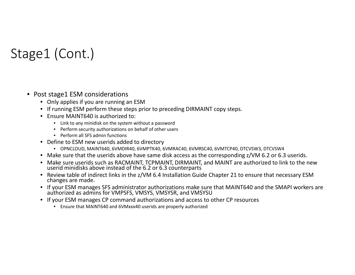# Stage1 (Cont.)

#### • Post stage1 ESM considerations

- Only applies if you are running an ESM
- If running ESM perform these steps prior to preceding DIRMAINT copy steps.
- Ensure MAINT640 is authorized to:
	- Link to any minidisk on the system without a password
	- Perform security authorizations on behalf of other users
	- Perform all SFS admin functions
- Define to ESM new userids added to directory
	- OPNCLOUD, MAINT640, 6VMDIR40, 6VMPTK40, 6VMRAC40, 6VMRSC40, 6VMTCP40, DTCVSW3, DTCVSW4
- Make sure that the userids above have same disk access as the corresponding z/VM 6.2 or 6.3 userids.
- Make sure userids such as RACMAINT, TCPMAINT, DIRMAINT, and MAINT are authorized to link to the new userid minidisks above instead of the 6.2 or 6.3 counterparts
- Review table of indirect links in the z/VM 6.4 Installation Guide Chapter 21 to ensure that necessary ESM changes are made.
- If your ESM manages SFS administrator authorizations make sure that MAINT640 and the SMAPI workers are authorized as admins for VMPSFS, VMSYS, VMSYSR, and VMSYSU
- If your ESM manages CP command authorizations and access to other CP resources
	- Ensure that MAINT640 and 6VMxxx40 userids are properly authorized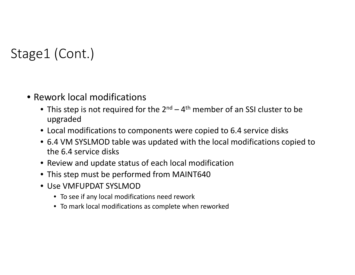# Stage1 (Cont.)

- Rework local modifications
	- This step is not required for the 2<sup>nd</sup> 4<sup>th</sup> member of an SSI cluster to be upgraded
	- Local modifications to components were copied to 6.4 service disks
	- 6.4 VM SYSLMOD table was updated with the local modifications copied to the 6.4 service disks
	- Review and update status of each local modification
	- This step must be performed from MAINT640
	- Use VMFUPDAT SYSLMOD
		- To see if any local modifications need rework
		- To mark local modifications as complete when reworked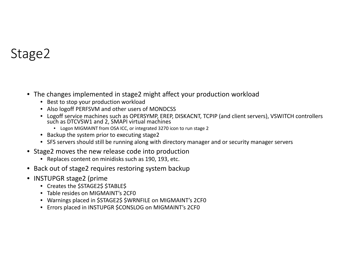#### Stage2

- The changes implemented in stage2 might affect your production workload
	- Best to stop your production workload
	- Also logoff PERFSVM and other users of MONDCSS
	- Logoff service machines such as OPERSYMP, EREP, DISKACNT, TCPIP (and client servers), VSWITCH controllers such as DTCVSW1 and 2, SMAPI virtual machines
		- Logon MIGMAINT from OSA ICC, or integrated 3270 icon to run stage 2
	- Backup the system prior to executing stage2
	- SFS servers should still be running along with directory manager and or security manager servers
- Stage2 moves the new release code into production
	- Replaces content on minidisks such as 190, 193, etc.
- Back out of stage2 requires restoring system backup
- INSTUPGR stage2 (prime
	- Creates the \$STAGE2\$ \$TABLE\$
	- Table resides on MIGMAINT's 2CF0
	- Warnings placed in \$STAGE2\$ \$WRNFILE on MIGMAINT's 2CF0
	- Errors placed in INSTUPGR \$CONSLOG on MIGMAINT's 2CF0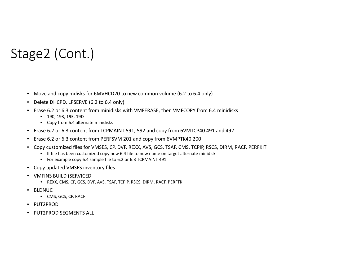# Stage2 (Cont.)

- Move and copy mdisks for 6MVHCD20 to new common volume (6.2 to 6.4 only)
- Delete DHCPD, LPSERVE (6.2 to 6.4 only)
- Erase 6.2 or 6.3 content from minidisks with VMFERASE, then VMFCOPY from 6.4 minidisks
	- 190, 193, 19E, 19D
	- Copy from 6.4 alternate minidisks
- Erase 6.2 or 6.3 content from TCPMAINT 591, 592 and copy from 6VMTCP40 491 and 492
- Erase 6.2 or 6.3 content from PERFSVM 201 and copy from 6VMPTK40 200
- Copy customized files for VMSES, CP, DVF, REXX, AVS, GCS, TSAF, CMS, TCPIP, RSCS, DIRM, RACF, PERFKIT
	- If file has been customized copy new 6.4 file to new name on target alternate minidisk
	- For example copy 6.4 sample file to 6.2 or 6.3 TCPMAINT 491
- Copy updated VMSES inventory files
- VMFINS BUILD (SERVICED
	- REXX, CMS, CP, GCS, DVF, AVS, TSAF, TCPIP, RSCS, DIRM, RACF, PERFTK
- BLDNUC
	- CMS, GCS, CP, RACF
- PUT2PROD
- PUT2PROD SEGMENTS ALL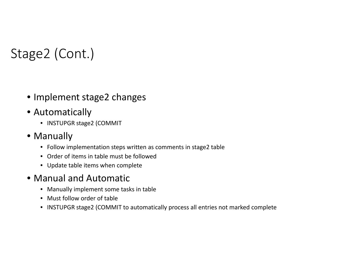# Stage2 (Cont.)

- Implement stage2 changes
- Automatically
	- INSTUPGR stage2 (COMMIT
- Manually
	- Follow implementation steps written as comments in stage2 table
	- Order of items in table must be followed
	- Update table items when complete
- Manual and Automatic
	- Manually implement some tasks in table
	- Must follow order of table
	- INSTUPGR stage2 (COMMIT to automatically process all entries not marked complete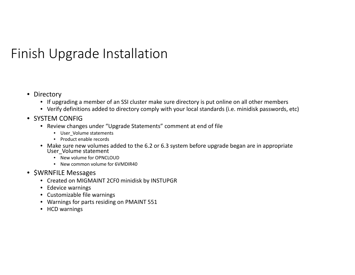# Finish Upgrade Installation

- Directory
	- If upgrading a member of an SSI cluster make sure directory is put online on all other members
	- Verify definitions added to directory comply with your local standards (i.e. minidisk passwords, etc)
- SYSTEM CONFIG
	- Review changes under "Upgrade Statements" comment at end of file
		- User\_Volume statements
		- Product enable records
	- Make sure new volumes added to the 6.2 or 6.3 system before upgrade began are in appropriate User\_Volume statement
		- New volume for OPNCLOUD
		- New common volume for 6VMDIR40
- \$WRNFILE Messages
	- Created on MIGMAINT 2CF0 minidisk by INSTUPGR
	- Edevice warnings
	- Customizable file warnings
	- Warnings for parts residing on PMAINT 551
	- HCD warnings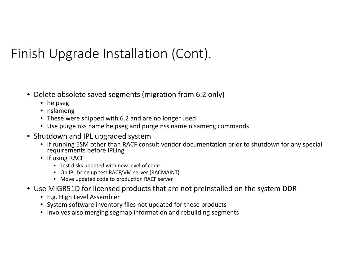# Finish Upgrade Installation (Cont).

- Delete obsolete saved segments (migration from 6.2 only)
	- helpseg
	- nslameng
	- These were shipped with 6.2 and are no longer used
	- Use purge nss name helpseg and purge nss name nlsameng commands
- Shutdown and IPL upgraded system
	- If running ESM other than RACF consult vendor documentation prior to shutdown for any special requirements before IPLing
	- If using RACF
		- Test disks updated with new level of code
		- On IPL bring up test RACF/VM server (RACMAINT)
		- Move updated code to production RACF server
- Use MIGR51D for licensed products that are not preinstalled on the system DDR
	- E.g. High Level Assembler
	- System software inventory files not updated for these products
	- Involves also merging segmap information and rebuilding segments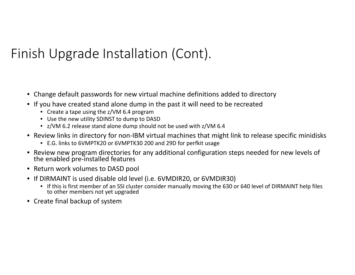# Finish Upgrade Installation (Cont).

- Change default passwords for new virtual machine definitions added to directory
- If you have created stand alone dump in the past it will need to be recreated
	- Create a tape using the z/VM 6.4 program
	- Use the new utility SDINST to dump to DASD
	- z/VM 6.2 release stand alone dump should not be used with z/VM 6.4
- Review links in directory for non-IBM virtual machines that might link to release specific minidisks
	- E.G. links to 6VMPTK20 or 6VMPTK30 200 and 29D for perfkit usage
- Review new program directories for any additional configuration steps needed for new levels of the enabled pre-installed features
- Return work volumes to DASD pool
- If DIRMAINT is used disable old level (i.e. 6VMDIR20, or 6VMDIR30)
	- If this is first member of an SSI cluster consider manually moving the 630 or 640 level of DIRMAINT help files to other members not yet upgraded
- Create final backup of system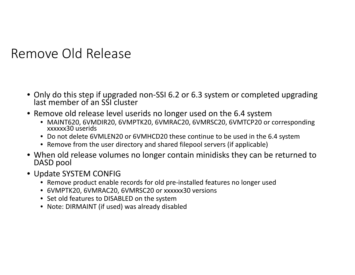Remove Old Release

- Only do this step if upgraded non-SSI 6.2 or 6.3 system or completed upgrading last member of an SSI cluster
- Remove old release level userids no longer used on the 6.4 system
	- MAINT620, 6VMDIR20, 6VMPTK20, 6VMRAC20, 6VMRSC20, 6VMTCP20 or corresponding xxxxxx30 userids
	- Do not delete 6VMLEN20 or 6VMHCD20 these continue to be used in the 6.4 system
	- Remove from the user directory and shared filepool servers (if applicable)
- When old release volumes no longer contain minidisks they can be returned to DASD pool
- Update SYSTEM CONFIG
	- Remove product enable records for old pre-installed features no longer used
	- 6VMPTK20, 6VMRAC20, 6VMRSC20 or xxxxxx30 versions
	- Set old features to DISABLED on the system
	- Note: DIRMAINT (if used) was already disabled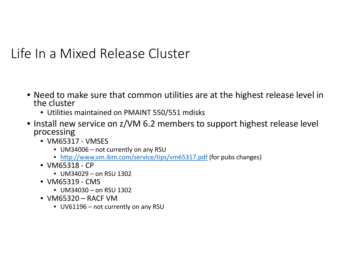#### Life In a Mixed Release Cluster

- Need to make sure that common utilities are at the highest release level in<br>the cluster
	- Utilities maintained on PMAINT 550/551 mdisks
- Install new service on z/VM 6.2 members to support highest release level processing
	- VM65317 VMSES
		- UM34006 not currently on any RSU
		- http://www.vm.ibm.com/service/tips/vm65317.pdf (for pubs changes)
	- VM65318 CP
		- UM34029 on RSU 1302
	- VM65319 CMS
		- UM34030 on RSU 1302
	- VM65320 RACF VM
		- UV61196 not currently on any RSU